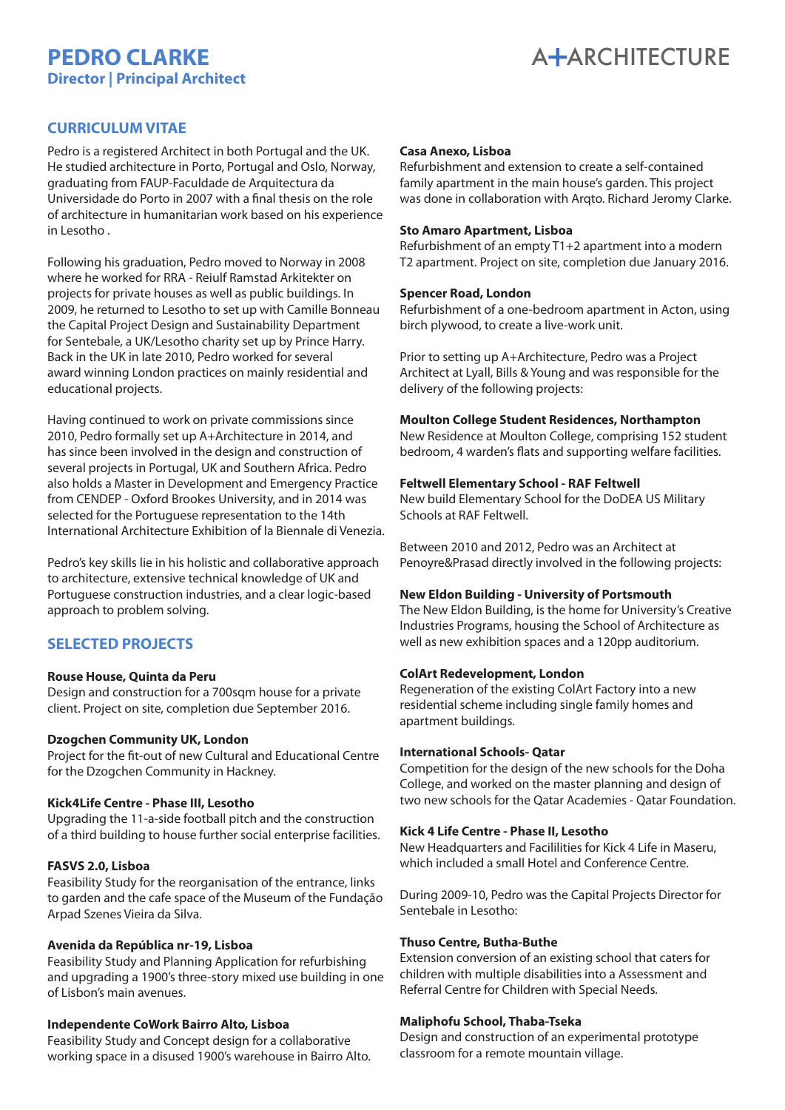# **PEDRO CLARKE Director | Principal Architect**



# **CURRICULUM VITAE**

Pedro is a registered Architect in both Portugal and the UK. He studied architecture in Porto, Portugal and Oslo, Norway, graduating from FAUP-Faculdade de Arquitectura da Universidade do Porto in 2007 with a final thesis on the role of architecture in humanitarian work based on his experience in Lesotho .

Following his graduation, Pedro moved to Norway in 2008 where he worked for RRA - Reiulf Ramstad Arkitekter on projects for private houses as well as public buildings. In 2009, he returned to Lesotho to set up with Camille Bonneau the Capital Project Design and Sustainability Department for Sentebale, a UK/Lesotho charity set up by Prince Harry. Back in the UK in late 2010, Pedro worked for several award winning London practices on mainly residential and educational projects.

Having continued to work on private commissions since 2010, Pedro formally set up A+Architecture in 2014, and has since been involved in the design and construction of several projects in Portugal, UK and Southern Africa. Pedro also holds a Master in Development and Emergency Practice from CENDEP - Oxford Brookes University, and in 2014 was selected for the Portuguese representation to the 14th International Architecture Exhibition of la Biennale di Venezia.

Pedro's key skills lie in his holistic and collaborative approach to architecture, extensive technical knowledge of UK and Portuguese construction industries, and a clear logic-based approach to problem solving.

# **SELECTED PROJECTS**

# **Rouse House, Quinta da Peru**

Design and construction for a 700sqm house for a private client. Project on site, completion due September 2016.

#### **Dzogchen Community UK, London**

Project for the fit-out of new Cultural and Educational Centre for the Dzogchen Community in Hackney.

#### **Kick4Life Centre - Phase III, Lesotho**

Upgrading the 11-a-side football pitch and the construction of a third building to house further social enterprise facilities.

# **FASVS 2.0, Lisboa**

Feasibility Study for the reorganisation of the entrance, links to garden and the cafe space of the Museum of the Fundação Arpad Szenes Vieira da Silva.

# **Avenida da República nr-19, Lisboa**

Feasibility Study and Planning Application for refurbishing and upgrading a 1900's three-story mixed use building in one of Lisbon's main avenues.

# **Independente CoWork Bairro Alto, Lisboa**

Feasibility Study and Concept design for a collaborative working space in a disused 1900's warehouse in Bairro Alto.

# **Casa Anexo, Lisboa**

Refurbishment and extension to create a self-contained family apartment in the main house's garden. This project ramily apartment in the main house's garden. This project<br>was done in collaboration with Arqto. Richard Jeromy Clarke.

#### **Sto Amaro Apartment, Lisboa**

Refurbishment of an empty T1+2 apartment into a modern T2 apartment. Project on site, completion due January 2016.<br>**Spencer Road, London** 

#### **Spencer Road, London**

**Spencer Road, London**<br>Refurbishment of a one-bedroom apartment in Acton, using birch plywood, to create a live-work unit.

Prior to setting up A+Architecture, Pedro was a Project Architect at Lyall, Bills & Young and was responsible for the delivery of the following projects:

#### **Moulton College Student Residences, Northampton**

New Residence at Moulton College, comprising 152 student bedroom, 4 warden's flats and supporting welfare facilities.

#### **Feltwell Elementary School - RAF Feltwell**

New build Elementary School for the DoDEA US Military Schools at RAF Feltwell.

Between 2010 and 2012, Pedro was an Architect at Penoyre&Prasad directly involved in the following projects:

#### **New Eldon Building - University of Portsmouth**

The New Eldon Building, is the home for University's Creative Industries Programs, housing the School of Architecture as well as new exhibition spaces and a 120pp auditorium.

#### **ColArt Redevelopment, London**

Regeneration of the existing ColArt Factory into a new residential scheme including single family homes and apartment buildings.

#### **International Schools- Qatar**

Competition for the design of the new schools for the Doha College, and worked on the master planning and design of two new schools for the Qatar Academies - Qatar Foundation.

# **Kick 4 Life Centre - Phase II, Lesotho**

New Headquarters and Facililities for Kick 4 Life in Maseru, which included a small Hotel and Conference Centre.

During 2009-10, Pedro was the Capital Projects Director for Sentebale in Lesotho:

# **Thuso Centre, Butha-Buthe**

Extension conversion of an existing school that caters for children with multiple disabilities into a Assessment and Referral Centre for Children with Special Needs.

# **Maliphofu School, Thaba-Tseka**

Design and construction of an experimental prototype classroom for a remote mountain village.